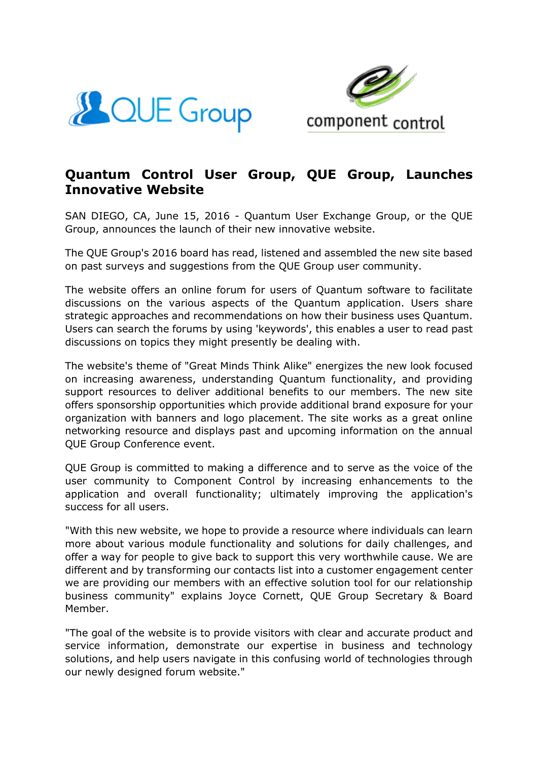



## **Quantum Control User Group, QUE Group, Launches Innovative Website**

SAN DIEGO, CA, June 15, 2016 - Quantum User Exchange Group, or the QUE Group, announces the launch of their new innovative website.

The QUE Group's 2016 board has read, listened and assembled the new site based on past surveys and suggestions from the QUE Group user community.

The website offers an online forum for users of Quantum software to facilitate discussions on the various aspects of the Quantum application. Users share strategic approaches and recommendations on how their business uses Quantum. Users can search the forums by using 'keywords', this enables a user to read past discussions on topics they might presently be dealing with.

The website's theme of "Great Minds Think Alike" energizes the new look focused on increasing awareness, understanding Quantum functionality, and providing support resources to deliver additional benefits to our members. The new site offers sponsorship opportunities which provide additional brand exposure for your organization with banners and logo placement. The site works as a great online networking resource and displays past and upcoming information on the annual QUE Group Conference event.

QUE Group is committed to making a difference and to serve as the voice of the user community to Component Control by increasing enhancements to the application and overall functionality; ultimately improving the application's success for all users.

"With this new website, we hope to provide a resource where individuals can learn more about various module functionality and solutions for daily challenges, and offer a way for people to give back to support this very worthwhile cause. We are different and by transforming our contacts list into a customer engagement center we are providing our members with an effective solution tool for our relationship business community" explains Joyce Cornett, QUE Group Secretary & Board Member.

"The goal of the website is to provide visitors with clear and accurate product and service information, demonstrate our expertise in business and technology solutions, and help users navigate in this confusing world of technologies through our newly designed forum website."